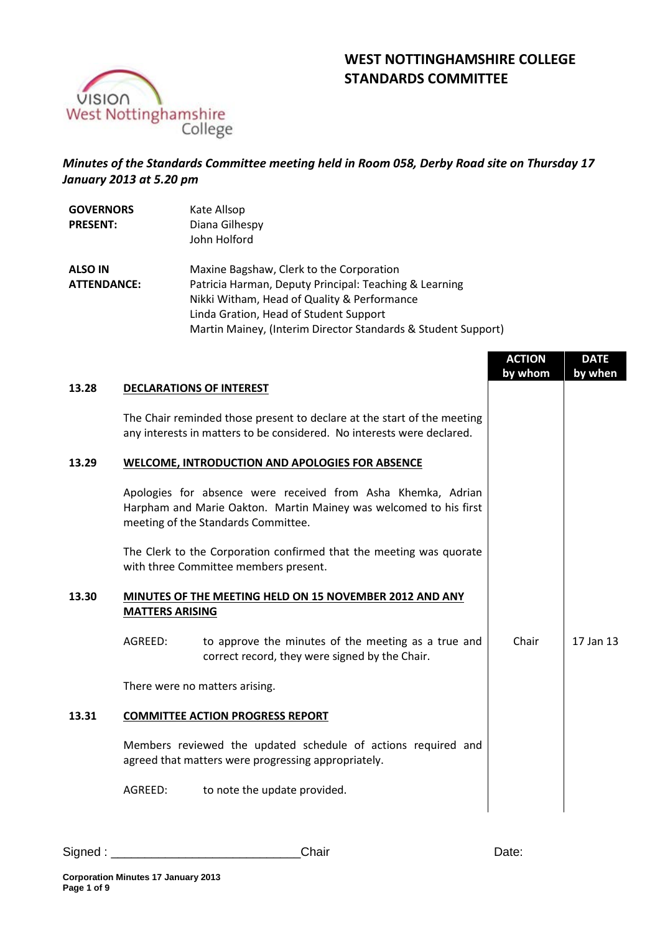# **WEST NOTTINGHAMSHIRE COLLEGE STANDARDS COMMITTEE**



## *Minutes of the Standards Committee meeting held in Room 058, Derby Road site on Thursday 17 January 2013 at 5.20 pm*

| <b>GOVERNORS</b><br><b>PRESENT:</b> | Kate Allsop<br>Diana Gilhespy<br>John Holford                 |
|-------------------------------------|---------------------------------------------------------------|
| <b>ALSO IN</b>                      | Maxine Bagshaw, Clerk to the Corporation                      |
| <b>ATTENDANCE:</b>                  | Patricia Harman, Deputy Principal: Teaching & Learning        |
|                                     | Nikki Witham, Head of Quality & Performance                   |
|                                     | Linda Gration, Head of Student Support                        |
|                                     | Martin Mainey, (Interim Director Standards & Student Support) |

|       |                        |                                                                                                                                                                          | <b>ACTION</b><br>by whom | <b>DATE</b><br>by when |
|-------|------------------------|--------------------------------------------------------------------------------------------------------------------------------------------------------------------------|--------------------------|------------------------|
| 13.28 |                        | <b>DECLARATIONS OF INTEREST</b>                                                                                                                                          |                          |                        |
|       |                        | The Chair reminded those present to declare at the start of the meeting<br>any interests in matters to be considered. No interests were declared.                        |                          |                        |
| 13.29 |                        | <b>WELCOME, INTRODUCTION AND APOLOGIES FOR ABSENCE</b>                                                                                                                   |                          |                        |
|       |                        | Apologies for absence were received from Asha Khemka, Adrian<br>Harpham and Marie Oakton. Martin Mainey was welcomed to his first<br>meeting of the Standards Committee. |                          |                        |
|       |                        | The Clerk to the Corporation confirmed that the meeting was quorate<br>with three Committee members present.                                                             |                          |                        |
| 13.30 | <b>MATTERS ARISING</b> | MINUTES OF THE MEETING HELD ON 15 NOVEMBER 2012 AND ANY                                                                                                                  |                          |                        |
|       | AGREED:                | to approve the minutes of the meeting as a true and<br>correct record, they were signed by the Chair.                                                                    | Chair                    | 17 Jan 13              |
|       |                        | There were no matters arising.                                                                                                                                           |                          |                        |
| 13.31 |                        | <b>COMMITTEE ACTION PROGRESS REPORT</b>                                                                                                                                  |                          |                        |
|       |                        | Members reviewed the updated schedule of actions required and<br>agreed that matters were progressing appropriately.                                                     |                          |                        |
|       | AGREED:                | to note the update provided.                                                                                                                                             |                          |                        |
|       |                        |                                                                                                                                                                          |                          |                        |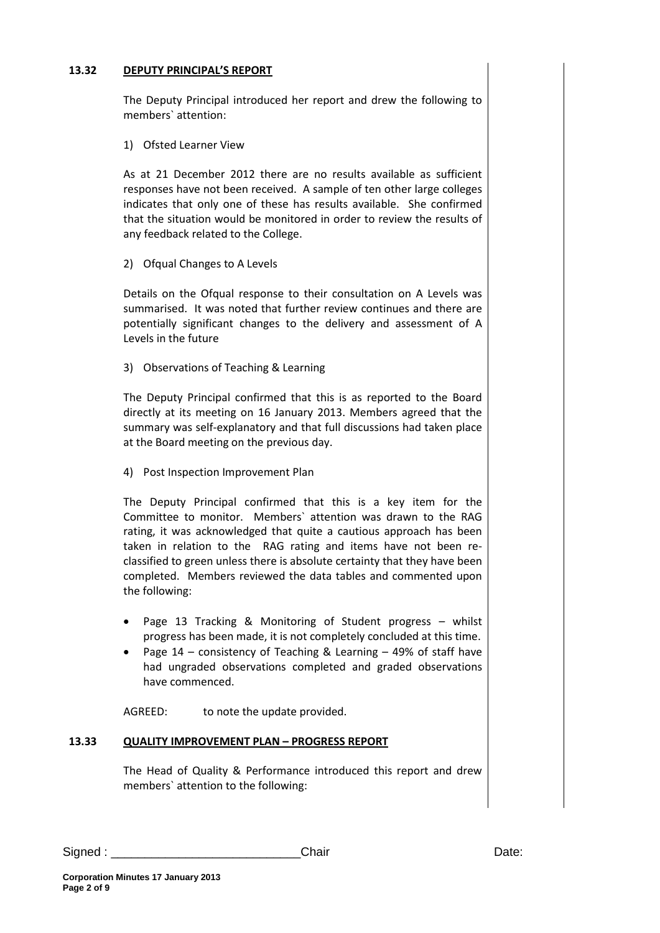## **13.32 DEPUTY PRINCIPAL'S REPORT**

The Deputy Principal introduced her report and drew the following to members` attention:

1) Ofsted Learner View

As at 21 December 2012 there are no results available as sufficient responses have not been received. A sample of ten other large colleges indicates that only one of these has results available. She confirmed that the situation would be monitored in order to review the results of any feedback related to the College.

2) Ofqual Changes to A Levels

Details on the Ofqual response to their consultation on A Levels was summarised. It was noted that further review continues and there are potentially significant changes to the delivery and assessment of A Levels in the future

3) Observations of Teaching & Learning

The Deputy Principal confirmed that this is as reported to the Board directly at its meeting on 16 January 2013. Members agreed that the summary was self-explanatory and that full discussions had taken place at the Board meeting on the previous day.

4) Post Inspection Improvement Plan

The Deputy Principal confirmed that this is a key item for the Committee to monitor. Members` attention was drawn to the RAG rating, it was acknowledged that quite a cautious approach has been taken in relation to the RAG rating and items have not been reclassified to green unless there is absolute certainty that they have been completed. Members reviewed the data tables and commented upon the following:

- Page 13 Tracking & Monitoring of Student progress whilst progress has been made, it is not completely concluded at this time.
- Page 14 consistency of Teaching & Learning 49% of staff have had ungraded observations completed and graded observations have commenced.

AGREED: to note the update provided.

#### **13.33 QUALITY IMPROVEMENT PLAN – PROGRESS REPORT**

The Head of Quality & Performance introduced this report and drew members` attention to the following: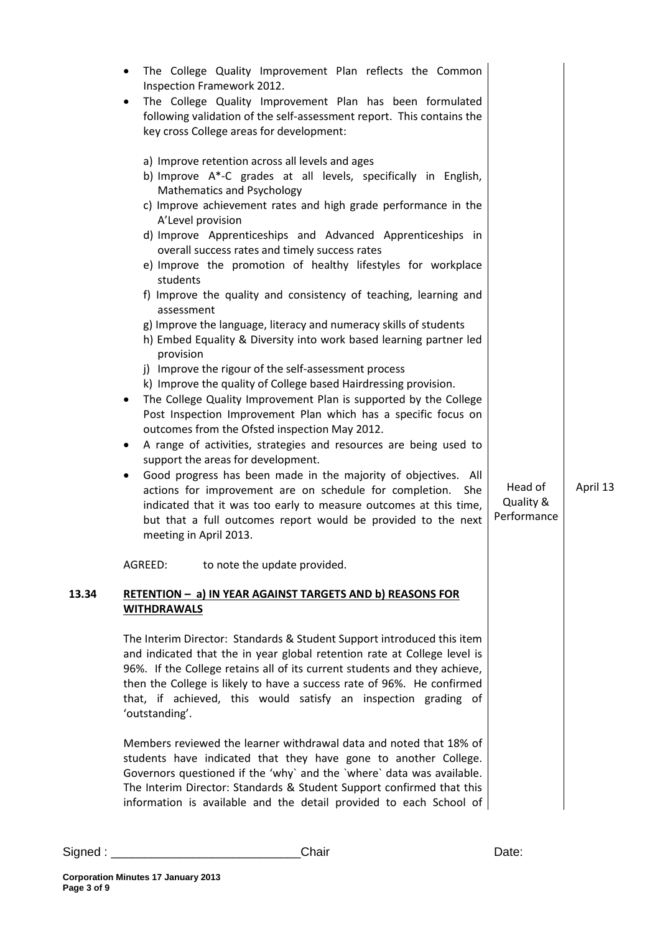|       | The College Quality Improvement Plan reflects the Common<br>Inspection Framework 2012.<br>The College Quality Improvement Plan has been formulated<br>following validation of the self-assessment report. This contains the<br>key cross College areas for development:<br>a) Improve retention across all levels and ages<br>b) Improve A*-C grades at all levels, specifically in English,<br><b>Mathematics and Psychology</b><br>c) Improve achievement rates and high grade performance in the<br>A'Level provision<br>d) Improve Apprenticeships and Advanced Apprenticeships in<br>overall success rates and timely success rates<br>e) Improve the promotion of healthy lifestyles for workplace<br>students<br>f) Improve the quality and consistency of teaching, learning and<br>assessment<br>g) Improve the language, literacy and numeracy skills of students<br>h) Embed Equality & Diversity into work based learning partner led<br>provision<br>j) Improve the rigour of the self-assessment process<br>k) Improve the quality of College based Hairdressing provision.<br>The College Quality Improvement Plan is supported by the College<br>$\bullet$<br>Post Inspection Improvement Plan which has a specific focus on<br>outcomes from the Ofsted inspection May 2012.<br>A range of activities, strategies and resources are being used to<br>$\bullet$<br>support the areas for development.<br>Good progress has been made in the majority of objectives. All<br>٠<br>actions for improvement are on schedule for completion.<br>She<br>indicated that it was too early to measure outcomes at this time,<br>but that a full outcomes report would be provided to the next<br>meeting in April 2013. | Head of<br>Quality &<br>Performance | April 13 |
|-------|--------------------------------------------------------------------------------------------------------------------------------------------------------------------------------------------------------------------------------------------------------------------------------------------------------------------------------------------------------------------------------------------------------------------------------------------------------------------------------------------------------------------------------------------------------------------------------------------------------------------------------------------------------------------------------------------------------------------------------------------------------------------------------------------------------------------------------------------------------------------------------------------------------------------------------------------------------------------------------------------------------------------------------------------------------------------------------------------------------------------------------------------------------------------------------------------------------------------------------------------------------------------------------------------------------------------------------------------------------------------------------------------------------------------------------------------------------------------------------------------------------------------------------------------------------------------------------------------------------------------------------------------------------------------------------------------------------------------------------|-------------------------------------|----------|
| 13.34 | AGREED:<br>to note the update provided.<br>RETENTION - a) IN YEAR AGAINST TARGETS AND b) REASONS FOR                                                                                                                                                                                                                                                                                                                                                                                                                                                                                                                                                                                                                                                                                                                                                                                                                                                                                                                                                                                                                                                                                                                                                                                                                                                                                                                                                                                                                                                                                                                                                                                                                           |                                     |          |
|       | <b>WITHDRAWALS</b><br>The Interim Director: Standards & Student Support introduced this item<br>and indicated that the in year global retention rate at College level is<br>96%. If the College retains all of its current students and they achieve,<br>then the College is likely to have a success rate of 96%. He confirmed<br>that, if achieved, this would satisfy an inspection grading of<br>'outstanding'.<br>Members reviewed the learner withdrawal data and noted that 18% of<br>students have indicated that they have gone to another College.<br>Governors questioned if the 'why' and the 'where' data was available.<br>The Interim Director: Standards & Student Support confirmed that this<br>information is available and the detail provided to each School of                                                                                                                                                                                                                                                                                                                                                                                                                                                                                                                                                                                                                                                                                                                                                                                                                                                                                                                                           |                                     |          |

**Corporation Minutes 17 January 2013 Page 3 of 9**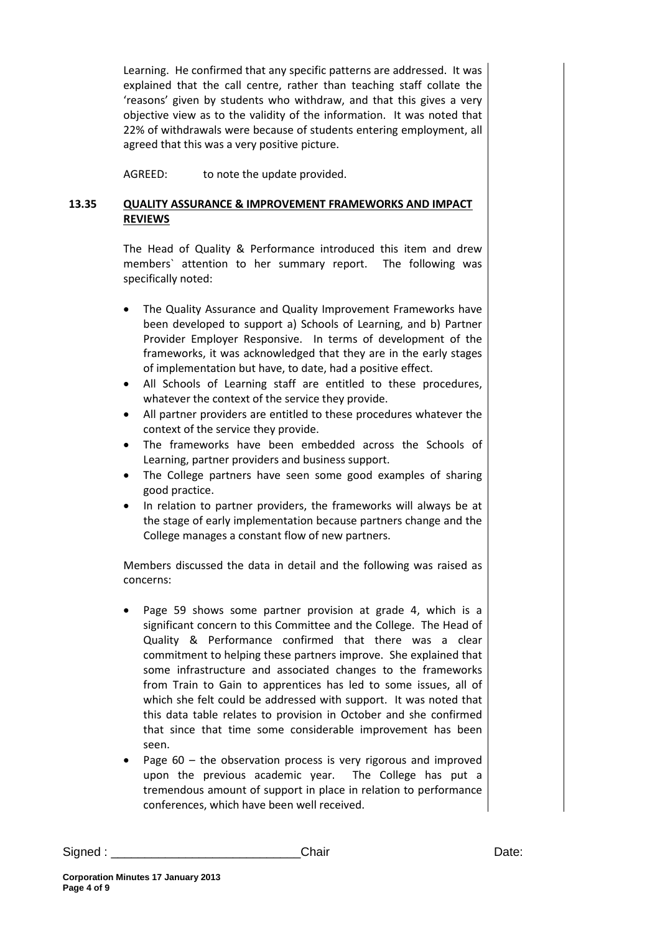Learning. He confirmed that any specific patterns are addressed. It was explained that the call centre, rather than teaching staff collate the 'reasons' given by students who withdraw, and that this gives a very objective view as to the validity of the information. It was noted that 22% of withdrawals were because of students entering employment, all agreed that this was a very positive picture.

AGREED: to note the update provided.

## **13.35 QUALITY ASSURANCE & IMPROVEMENT FRAMEWORKS AND IMPACT REVIEWS**

The Head of Quality & Performance introduced this item and drew members` attention to her summary report. The following was specifically noted:

- The Quality Assurance and Quality Improvement Frameworks have been developed to support a) Schools of Learning, and b) Partner Provider Employer Responsive. In terms of development of the frameworks, it was acknowledged that they are in the early stages of implementation but have, to date, had a positive effect.
- All Schools of Learning staff are entitled to these procedures, whatever the context of the service they provide.
- All partner providers are entitled to these procedures whatever the context of the service they provide.
- The frameworks have been embedded across the Schools of Learning, partner providers and business support.
- The College partners have seen some good examples of sharing good practice.
- In relation to partner providers, the frameworks will always be at the stage of early implementation because partners change and the College manages a constant flow of new partners.

Members discussed the data in detail and the following was raised as concerns:

- Page 59 shows some partner provision at grade 4, which is a significant concern to this Committee and the College. The Head of Quality & Performance confirmed that there was a clear commitment to helping these partners improve. She explained that some infrastructure and associated changes to the frameworks from Train to Gain to apprentices has led to some issues, all of which she felt could be addressed with support. It was noted that this data table relates to provision in October and she confirmed that since that time some considerable improvement has been seen.
- Page  $60 -$  the observation process is very rigorous and improved upon the previous academic year. The College has put a tremendous amount of support in place in relation to performance conferences, which have been well received.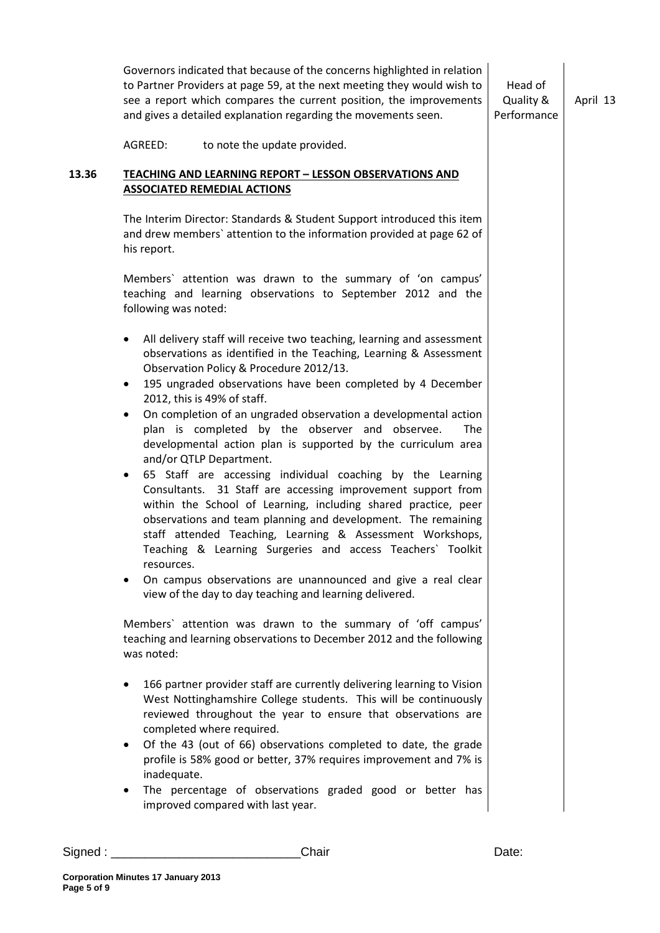Governors indicated that because of the concerns highlighted in relation to Partner Providers at page 59, at the next meeting they would wish to see a report which compares the current position, the improvements and gives a detailed explanation regarding the movements seen. AGREED: to note the update provided. Head of Quality & Performance April 13 **13.36 TEACHING AND LEARNING REPORT – LESSON OBSERVATIONS AND ASSOCIATED REMEDIAL ACTIONS** The Interim Director: Standards & Student Support introduced this item and drew members` attention to the information provided at page 62 of his report. Members` attention was drawn to the summary of 'on campus' teaching and learning observations to September 2012 and the following was noted: • All delivery staff will receive two teaching, learning and assessment observations as identified in the Teaching, Learning & Assessment Observation Policy & Procedure 2012/13. 195 ungraded observations have been completed by 4 December 2012, this is 49% of staff. • On completion of an ungraded observation a developmental action plan is completed by the observer and observee. The developmental action plan is supported by the curriculum area and/or QTLP Department. • 65 Staff are accessing individual coaching by the Learning Consultants. 31 Staff are accessing improvement support from within the School of Learning, including shared practice, peer observations and team planning and development. The remaining staff attended Teaching, Learning & Assessment Workshops, Teaching & Learning Surgeries and access Teachers` Toolkit resources. • On campus observations are unannounced and give a real clear view of the day to day teaching and learning delivered. Members` attention was drawn to the summary of 'off campus' teaching and learning observations to December 2012 and the following was noted: 166 partner provider staff are currently delivering learning to Vision West Nottinghamshire College students. This will be continuously reviewed throughout the year to ensure that observations are completed where required. • Of the 43 (out of 66) observations completed to date, the grade profile is 58% good or better, 37% requires improvement and 7% is inadequate. The percentage of observations graded good or better has improved compared with last year.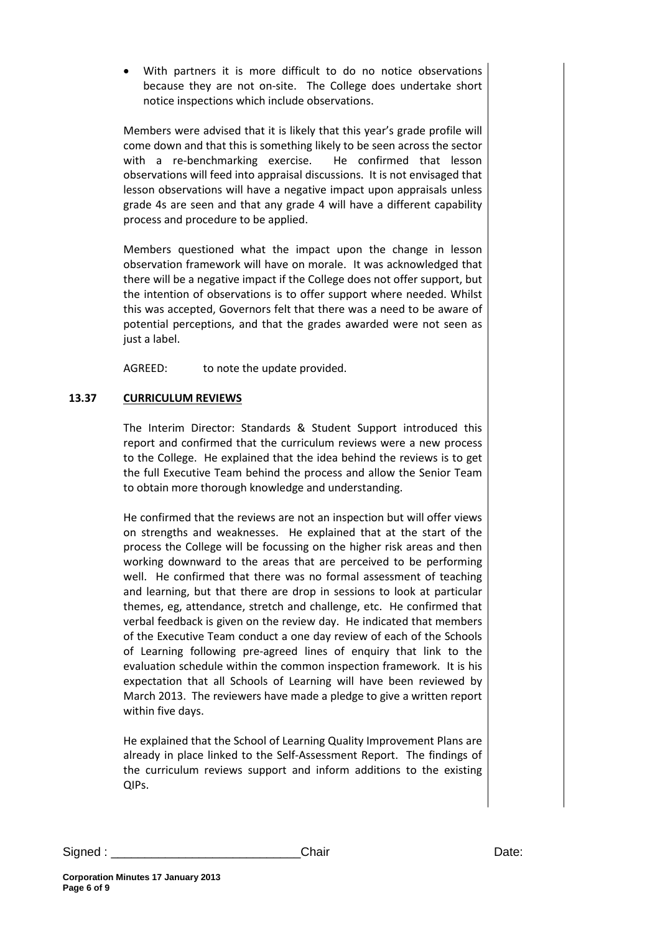With partners it is more difficult to do no notice observations because they are not on-site. The College does undertake short notice inspections which include observations.

Members were advised that it is likely that this year's grade profile will come down and that this is something likely to be seen across the sector with a re-benchmarking exercise. He confirmed that lesson observations will feed into appraisal discussions. It is not envisaged that lesson observations will have a negative impact upon appraisals unless grade 4s are seen and that any grade 4 will have a different capability process and procedure to be applied.

Members questioned what the impact upon the change in lesson observation framework will have on morale. It was acknowledged that there will be a negative impact if the College does not offer support, but the intention of observations is to offer support where needed. Whilst this was accepted, Governors felt that there was a need to be aware of potential perceptions, and that the grades awarded were not seen as just a label.

AGREED: to note the update provided.

## **13.37 CURRICULUM REVIEWS**

The Interim Director: Standards & Student Support introduced this report and confirmed that the curriculum reviews were a new process to the College. He explained that the idea behind the reviews is to get the full Executive Team behind the process and allow the Senior Team to obtain more thorough knowledge and understanding.

He confirmed that the reviews are not an inspection but will offer views on strengths and weaknesses. He explained that at the start of the process the College will be focussing on the higher risk areas and then working downward to the areas that are perceived to be performing well. He confirmed that there was no formal assessment of teaching and learning, but that there are drop in sessions to look at particular themes, eg, attendance, stretch and challenge, etc. He confirmed that verbal feedback is given on the review day. He indicated that members of the Executive Team conduct a one day review of each of the Schools of Learning following pre-agreed lines of enquiry that link to the evaluation schedule within the common inspection framework. It is his expectation that all Schools of Learning will have been reviewed by March 2013. The reviewers have made a pledge to give a written report within five days.

He explained that the School of Learning Quality Improvement Plans are already in place linked to the Self-Assessment Report. The findings of the curriculum reviews support and inform additions to the existing QIPs.

Signed : \_\_\_\_\_\_\_\_\_\_\_\_\_\_\_\_\_\_\_\_\_\_\_\_\_\_\_\_\_\_\_\_\_\_Chair example and the contract of the Date: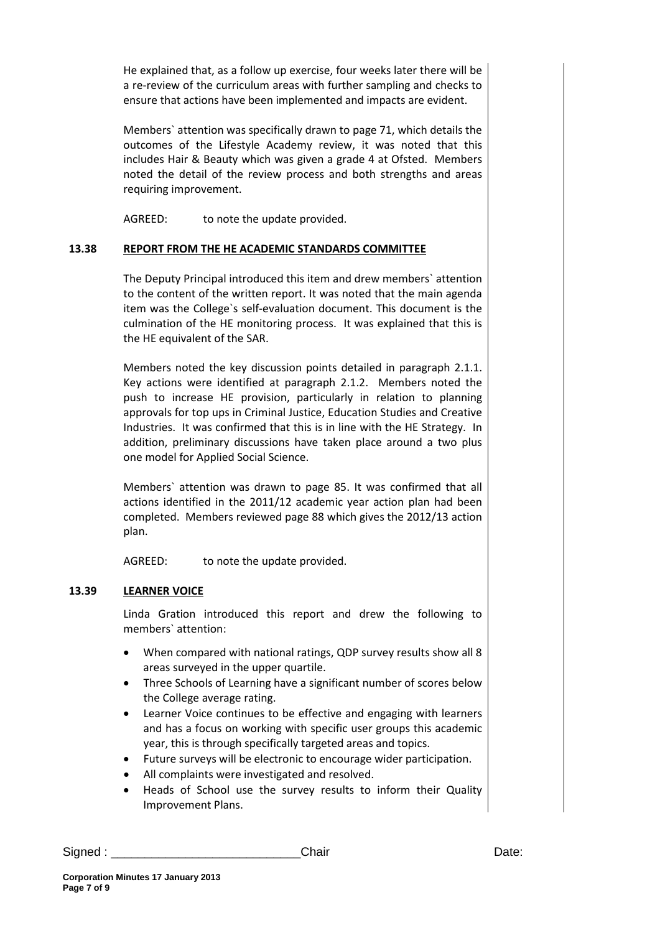He explained that, as a follow up exercise, four weeks later there will be a re-review of the curriculum areas with further sampling and checks to ensure that actions have been implemented and impacts are evident.

Members` attention was specifically drawn to page 71, which details the outcomes of the Lifestyle Academy review, it was noted that this includes Hair & Beauty which was given a grade 4 at Ofsted. Members noted the detail of the review process and both strengths and areas requiring improvement.

AGREED: to note the update provided.

## **13.38 REPORT FROM THE HE ACADEMIC STANDARDS COMMITTEE**

The Deputy Principal introduced this item and drew members` attention to the content of the written report. It was noted that the main agenda item was the College`s self-evaluation document. This document is the culmination of the HE monitoring process. It was explained that this is the HE equivalent of the SAR.

Members noted the key discussion points detailed in paragraph 2.1.1. Key actions were identified at paragraph 2.1.2. Members noted the push to increase HE provision, particularly in relation to planning approvals for top ups in Criminal Justice, Education Studies and Creative Industries. It was confirmed that this is in line with the HE Strategy. In addition, preliminary discussions have taken place around a two plus one model for Applied Social Science.

Members` attention was drawn to page 85. It was confirmed that all actions identified in the 2011/12 academic year action plan had been completed. Members reviewed page 88 which gives the 2012/13 action plan.

AGREED: to note the update provided.

## **13.39 LEARNER VOICE**

Linda Gration introduced this report and drew the following to members` attention:

- When compared with national ratings, QDP survey results show all 8 areas surveyed in the upper quartile.
- Three Schools of Learning have a significant number of scores below the College average rating.
- Learner Voice continues to be effective and engaging with learners and has a focus on working with specific user groups this academic year, this is through specifically targeted areas and topics.
- Future surveys will be electronic to encourage wider participation.
- All complaints were investigated and resolved.
- Heads of School use the survey results to inform their Quality Improvement Plans.

Signed : \_\_\_\_\_\_\_\_\_\_\_\_\_\_\_\_\_\_\_\_\_\_\_\_\_\_\_\_Chair Date: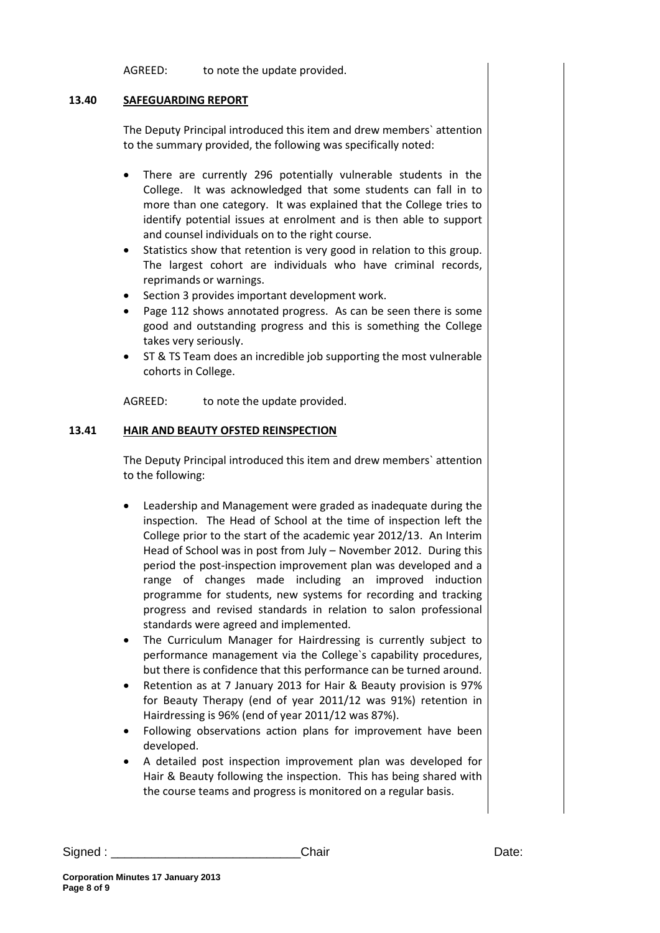AGREED: to note the update provided.

#### **13.40 SAFEGUARDING REPORT**

The Deputy Principal introduced this item and drew members` attention to the summary provided, the following was specifically noted:

- There are currently 296 potentially vulnerable students in the College. It was acknowledged that some students can fall in to more than one category. It was explained that the College tries to identify potential issues at enrolment and is then able to support and counsel individuals on to the right course.
- Statistics show that retention is very good in relation to this group. The largest cohort are individuals who have criminal records, reprimands or warnings.
- Section 3 provides important development work.
- Page 112 shows annotated progress. As can be seen there is some good and outstanding progress and this is something the College takes very seriously.
- ST & TS Team does an incredible job supporting the most vulnerable cohorts in College.

AGREED: to note the update provided.

### **13.41 HAIR AND BEAUTY OFSTED REINSPECTION**

The Deputy Principal introduced this item and drew members` attention to the following:

- Leadership and Management were graded as inadequate during the inspection. The Head of School at the time of inspection left the College prior to the start of the academic year 2012/13. An Interim Head of School was in post from July – November 2012. During this period the post-inspection improvement plan was developed and a range of changes made including an improved induction programme for students, new systems for recording and tracking progress and revised standards in relation to salon professional standards were agreed and implemented.
- The Curriculum Manager for Hairdressing is currently subject to performance management via the College`s capability procedures, but there is confidence that this performance can be turned around.
- Retention as at 7 January 2013 for Hair & Beauty provision is 97% for Beauty Therapy (end of year 2011/12 was 91%) retention in Hairdressing is 96% (end of year 2011/12 was 87%).
- Following observations action plans for improvement have been developed.
- A detailed post inspection improvement plan was developed for Hair & Beauty following the inspection. This has being shared with the course teams and progress is monitored on a regular basis.

| lair |  |
|------|--|
|      |  |